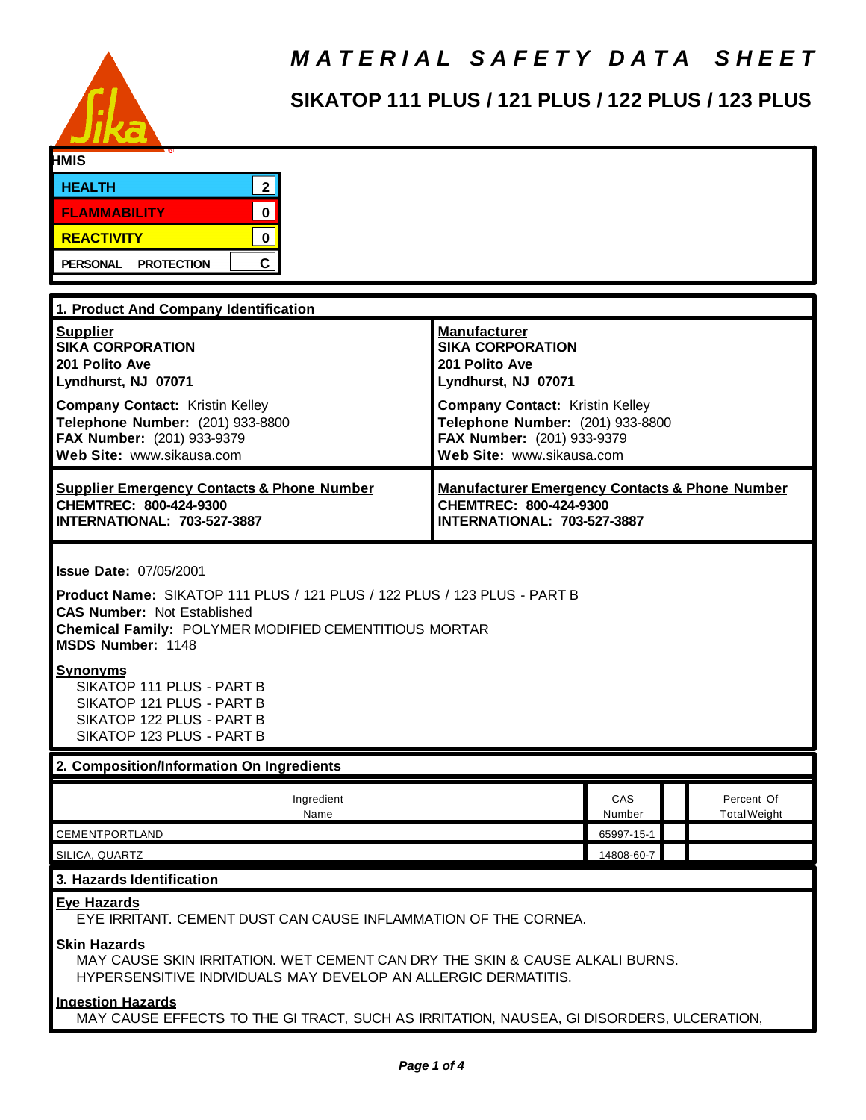

# *M A T E R I A L S A F E T Y D A T A S H E E T*

# **SIKATOP 111 PLUS / 121 PLUS / 122 PLUS / 123 PLUS**

| <b>HMIS</b>                                                                                                                                                                                                                                                                                                                                                                        |                                                           |                     |  |
|------------------------------------------------------------------------------------------------------------------------------------------------------------------------------------------------------------------------------------------------------------------------------------------------------------------------------------------------------------------------------------|-----------------------------------------------------------|---------------------|--|
| 2 <br><b>HEALTH</b>                                                                                                                                                                                                                                                                                                                                                                |                                                           |                     |  |
| $\mathbf 0$<br><b>FLAMMABILITY</b>                                                                                                                                                                                                                                                                                                                                                 |                                                           |                     |  |
| <b>REACTIVITY</b><br>$\mathbf 0$                                                                                                                                                                                                                                                                                                                                                   |                                                           |                     |  |
| $\mathbf{C}$<br><b>PERSONAL</b><br><b>PROTECTION</b>                                                                                                                                                                                                                                                                                                                               |                                                           |                     |  |
|                                                                                                                                                                                                                                                                                                                                                                                    |                                                           |                     |  |
| 1. Product And Company Identification                                                                                                                                                                                                                                                                                                                                              |                                                           |                     |  |
| <b>Supplier</b>                                                                                                                                                                                                                                                                                                                                                                    | <b>Manufacturer</b>                                       |                     |  |
| <b>SIKA CORPORATION</b><br>201 Polito Ave                                                                                                                                                                                                                                                                                                                                          | <b>SIKA CORPORATION</b><br>201 Polito Ave                 |                     |  |
| Lyndhurst, NJ 07071                                                                                                                                                                                                                                                                                                                                                                | Lyndhurst, NJ 07071                                       |                     |  |
| <b>Company Contact: Kristin Kelley</b>                                                                                                                                                                                                                                                                                                                                             | <b>Company Contact: Kristin Kelley</b>                    |                     |  |
| Telephone Number: (201) 933-8800                                                                                                                                                                                                                                                                                                                                                   | Telephone Number: (201) 933-8800                          |                     |  |
| FAX Number: (201) 933-9379<br>Web Site: www.sikausa.com                                                                                                                                                                                                                                                                                                                            | FAX Number: (201) 933-9379<br>Web Site: www.sikausa.com   |                     |  |
|                                                                                                                                                                                                                                                                                                                                                                                    |                                                           |                     |  |
| <b>Supplier Emergency Contacts &amp; Phone Number</b>                                                                                                                                                                                                                                                                                                                              | <b>Manufacturer Emergency Contacts &amp; Phone Number</b> |                     |  |
| CHEMTREC: 800-424-9300<br>INTERNATIONAL: 703-527-3887                                                                                                                                                                                                                                                                                                                              | CHEMTREC: 800-424-9300<br>INTERNATIONAL: 703-527-3887     |                     |  |
|                                                                                                                                                                                                                                                                                                                                                                                    |                                                           |                     |  |
| <b>Issue Date: 07/05/2001</b><br><b>Product Name: SIKATOP 111 PLUS / 121 PLUS / 122 PLUS / 123 PLUS - PART B</b><br><b>CAS Number: Not Established</b><br>Chemical Family: POLYMER MODIFIED CEMENTITIOUS MORTAR<br><b>MSDS Number: 1148</b><br><b>Synonyms</b><br>SIKATOP 111 PLUS - PART B<br>SIKATOP 121 PLUS - PART B<br>SIKATOP 122 PLUS - PART B<br>SIKATOP 123 PLUS - PART B |                                                           |                     |  |
| 2. Composition/Information On Ingredients                                                                                                                                                                                                                                                                                                                                          |                                                           |                     |  |
| Ingredient                                                                                                                                                                                                                                                                                                                                                                         | CAS                                                       | Percent Of          |  |
| Name                                                                                                                                                                                                                                                                                                                                                                               | Number                                                    | <b>Total Weight</b> |  |
| CEMENTPORTLAND<br>SILICA, QUARTZ                                                                                                                                                                                                                                                                                                                                                   | 65997-15-1<br>14808-60-7                                  |                     |  |
|                                                                                                                                                                                                                                                                                                                                                                                    |                                                           |                     |  |
| 3. Hazards Identification                                                                                                                                                                                                                                                                                                                                                          |                                                           |                     |  |
| <b>Eye Hazards</b><br>EYE IRRITANT. CEMENT DUST CAN CAUSE INFLAMMATION OF THE CORNEA.                                                                                                                                                                                                                                                                                              |                                                           |                     |  |
| <b>Skin Hazards</b><br>MAY CAUSE SKIN IRRITATION. WET CEMENT CAN DRY THE SKIN & CAUSE ALKALI BURNS.<br>HYPERSENSITIVE INDIVIDUALS MAY DEVELOP AN ALLERGIC DERMATITIS.                                                                                                                                                                                                              |                                                           |                     |  |
| <b>Ingestion Hazards</b><br>MAY CAUSE EFFECTS TO THE GI TRACT, SUCH AS IRRITATION, NAUSEA, GI DISORDERS, ULCERATION,                                                                                                                                                                                                                                                               |                                                           |                     |  |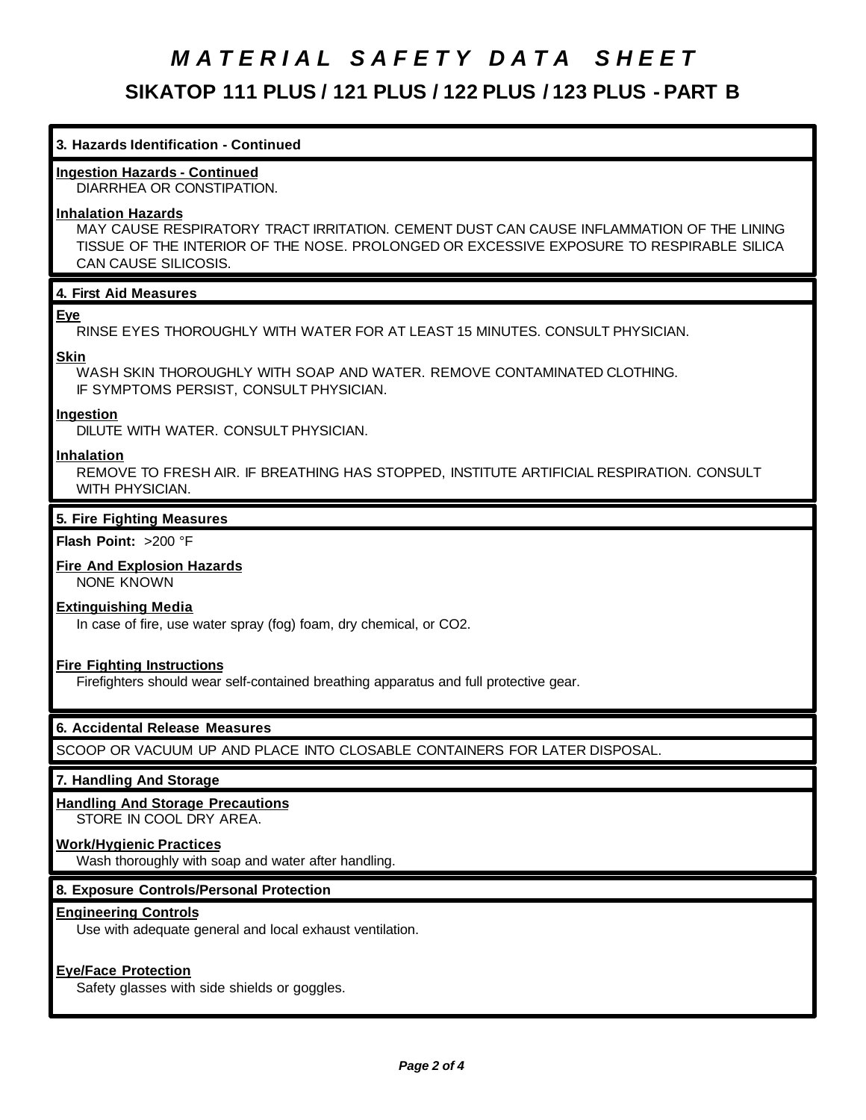# *M A T E R I A L S A F E T Y D A T A S H E E T* **SIKATOP 111 PLUS / 121 PLUS / 122 PLUS / 123 PLUS - PART B**

# **3. Hazards Identification - Continued**

# **Ingestion Hazards - Continued**

DIARRHEA OR CONSTIPATION.

#### **Inhalation Hazards**

MAY CAUSE RESPIRATORY TRACT IRRITATION. CEMENT DUST CAN CAUSE INFLAMMATION OF THE LINING TISSUE OF THE INTERIOR OF THE NOSE. PROLONGED OR EXCESSIVE EXPOSURE TO RESPIRABLE SILICA CAN CAUSE SILICOSIS.

# **4. First Aid Measures**

#### **Eye**

RINSE EYES THOROUGHLY WITH WATER FOR AT LEAST 15 MINUTES. CONSULT PHYSICIAN.

#### **Skin**

WASH SKIN THOROUGHLY WITH SOAP AND WATER. REMOVE CONTAMINATED CLOTHING. IF SYMPTOMS PERSIST, CONSULT PHYSICIAN.

#### **Ingestion**

DILUTE WITH WATER. CONSULT PHYSICIAN.

#### **Inhalation**

REMOVE TO FRESH AIR. IF BREATHING HAS STOPPED, INSTITUTE ARTIFICIAL RESPIRATION. CONSULT WITH PHYSICIAN.

#### **5. Fire Fighting Measures**

#### **Flash Point:** >200 °F

# **Fire And Explosion Hazards**

NONE KNOWN

#### **Extinguishing Media**

In case of fire, use water spray (fog) foam, dry chemical, or CO2.

# **Fire Fighting Instructions**

Firefighters should wear self-contained breathing apparatus and full protective gear.

# **6. Accidental Release Measures**

SCOOP OR VACUUM UP AND PLACE INTO CLOSABLE CONTAINERS FOR LATER DISPOSAL.

#### **7. Handling And Storage**

#### **Handling And Storage Precautions** STORE IN COOL DRY AREA.

# **Work/Hygienic Practices**

Wash thoroughly with soap and water after handling.

# **8. Exposure Controls/Personal Protection**

#### **Engineering Controls**

Use with adequate general and local exhaust ventilation.

# **Eye/Face Protection**

Safety glasses with side shields or goggles.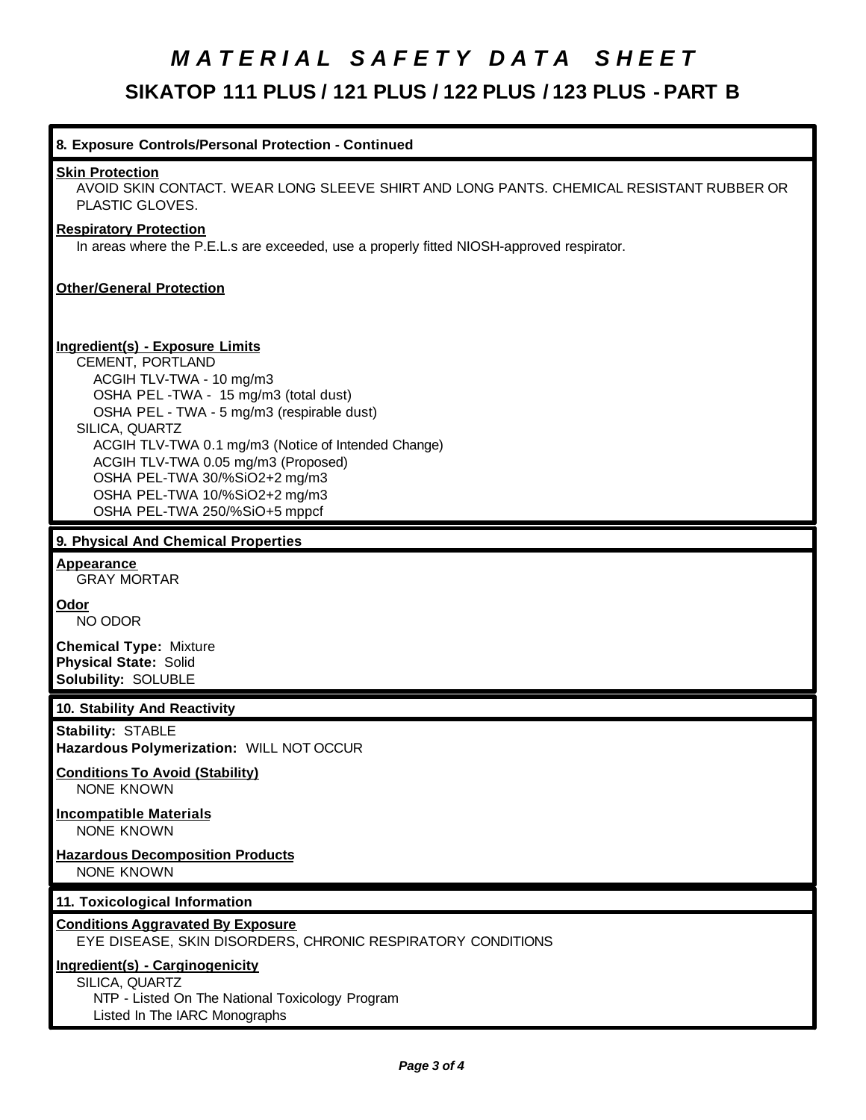# *M A T E R I A L S A F E T Y D A T A S H E E T* **SIKATOP 111 PLUS / 121 PLUS / 122 PLUS / 123 PLUS - PART B**

| 8. Exposure Controls/Personal Protection - Continued                                                                                                                                                                                                                                                                                                                                            |  |  |
|-------------------------------------------------------------------------------------------------------------------------------------------------------------------------------------------------------------------------------------------------------------------------------------------------------------------------------------------------------------------------------------------------|--|--|
| <b>Skin Protection</b><br>AVOID SKIN CONTACT. WEAR LONG SLEEVE SHIRT AND LONG PANTS. CHEMICAL RESISTANT RUBBER OR<br>PLASTIC GLOVES.                                                                                                                                                                                                                                                            |  |  |
| <b>Respiratory Protection</b><br>In areas where the P.E.L.s are exceeded, use a properly fitted NIOSH-approved respirator.                                                                                                                                                                                                                                                                      |  |  |
| <b>Other/General Protection</b>                                                                                                                                                                                                                                                                                                                                                                 |  |  |
| <b>Ingredient(s) - Exposure Limits</b><br>CEMENT, PORTLAND<br>ACGIH TLV-TWA - 10 mg/m3<br>OSHA PEL-TWA - 15 mg/m3 (total dust)<br>OSHA PEL - TWA - 5 mg/m3 (respirable dust)<br>SILICA, QUARTZ<br>ACGIH TLV-TWA 0.1 mg/m3 (Notice of Intended Change)<br>ACGIH TLV-TWA 0.05 mg/m3 (Proposed)<br>OSHA PEL-TWA 30/%SiO2+2 mg/m3<br>OSHA PEL-TWA 10/%SiO2+2 mg/m3<br>OSHA PEL-TWA 250/%SiO+5 mppcf |  |  |
| 9. Physical And Chemical Properties                                                                                                                                                                                                                                                                                                                                                             |  |  |
| Appearance<br><b>GRAY MORTAR</b>                                                                                                                                                                                                                                                                                                                                                                |  |  |
| <b>Odor</b><br>NO ODOR                                                                                                                                                                                                                                                                                                                                                                          |  |  |
| <b>Chemical Type: Mixture</b><br><b>Physical State: Solid</b><br>Solubility: SOLUBLE                                                                                                                                                                                                                                                                                                            |  |  |
| 10. Stability And Reactivity                                                                                                                                                                                                                                                                                                                                                                    |  |  |
| <b>Stability: STABLE</b><br>Hazardous Polymerization: WILL NOT OCCUR                                                                                                                                                                                                                                                                                                                            |  |  |
| <b>Conditions To Avoid (Stability)</b><br><b>NONE KNOWN</b>                                                                                                                                                                                                                                                                                                                                     |  |  |
| <b>Incompatible Materials</b><br><b>NONE KNOWN</b>                                                                                                                                                                                                                                                                                                                                              |  |  |
| <b>Hazardous Decomposition Products</b><br><b>NONE KNOWN</b>                                                                                                                                                                                                                                                                                                                                    |  |  |
| 11. Toxicological Information                                                                                                                                                                                                                                                                                                                                                                   |  |  |
| <b>Conditions Aggravated By Exposure</b><br>EYE DISEASE, SKIN DISORDERS, CHRONIC RESPIRATORY CONDITIONS                                                                                                                                                                                                                                                                                         |  |  |
| Ingredient(s) - Carginogenicity<br>SILICA, QUARTZ                                                                                                                                                                                                                                                                                                                                               |  |  |

 NTP - Listed On The National Toxicology Program Listed In The IARC Monographs